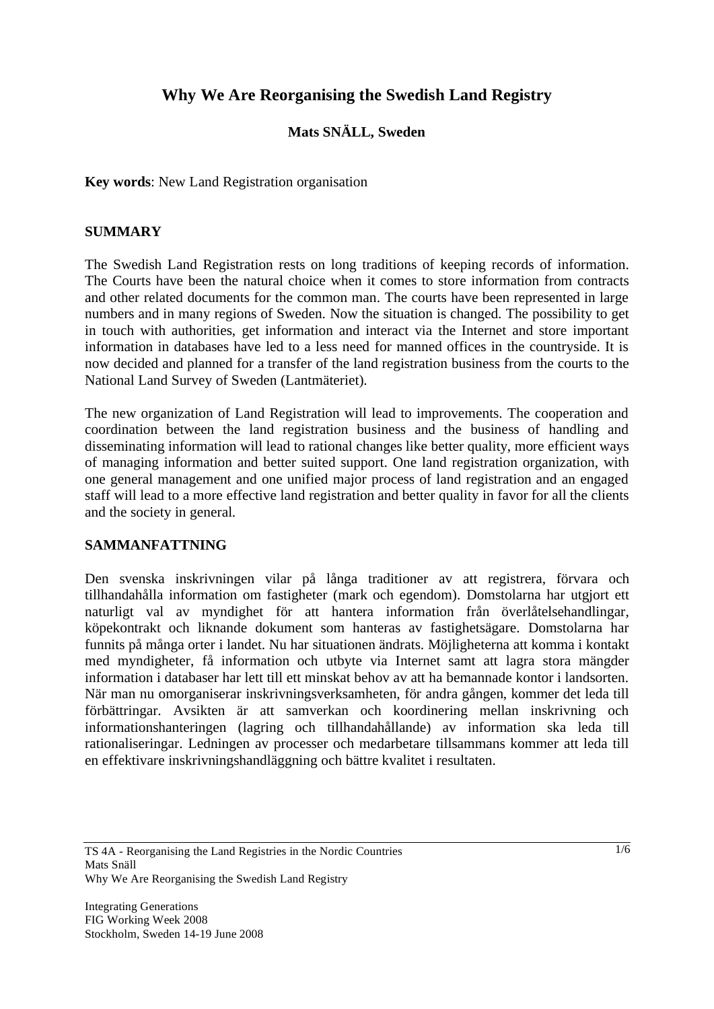# **Why We Are Reorganising the Swedish Land Registry**

## **Mats SNÄLL, Sweden**

**Key words**: New Land Registration organisation

#### **SUMMARY**

The Swedish Land Registration rests on long traditions of keeping records of information. The Courts have been the natural choice when it comes to store information from contracts and other related documents for the common man. The courts have been represented in large numbers and in many regions of Sweden. Now the situation is changed. The possibility to get in touch with authorities, get information and interact via the Internet and store important information in databases have led to a less need for manned offices in the countryside. It is now decided and planned for a transfer of the land registration business from the courts to the National Land Survey of Sweden (Lantmäteriet).

The new organization of Land Registration will lead to improvements. The cooperation and coordination between the land registration business and the business of handling and disseminating information will lead to rational changes like better quality, more efficient ways of managing information and better suited support. One land registration organization, with one general management and one unified major process of land registration and an engaged staff will lead to a more effective land registration and better quality in favor for all the clients and the society in general.

#### **SAMMANFATTNING**

Den svenska inskrivningen vilar på långa traditioner av att registrera, förvara och tillhandahålla information om fastigheter (mark och egendom). Domstolarna har utgjort ett naturligt val av myndighet för att hantera information från överlåtelsehandlingar, köpekontrakt och liknande dokument som hanteras av fastighetsägare. Domstolarna har funnits på många orter i landet. Nu har situationen ändrats. Möjligheterna att komma i kontakt med myndigheter, få information och utbyte via Internet samt att lagra stora mängder information i databaser har lett till ett minskat behov av att ha bemannade kontor i landsorten. När man nu omorganiserar inskrivningsverksamheten, för andra gången, kommer det leda till förbättringar. Avsikten är att samverkan och koordinering mellan inskrivning och informationshanteringen (lagring och tillhandahållande) av information ska leda till rationaliseringar. Ledningen av processer och medarbetare tillsammans kommer att leda till en effektivare inskrivningshandläggning och bättre kvalitet i resultaten.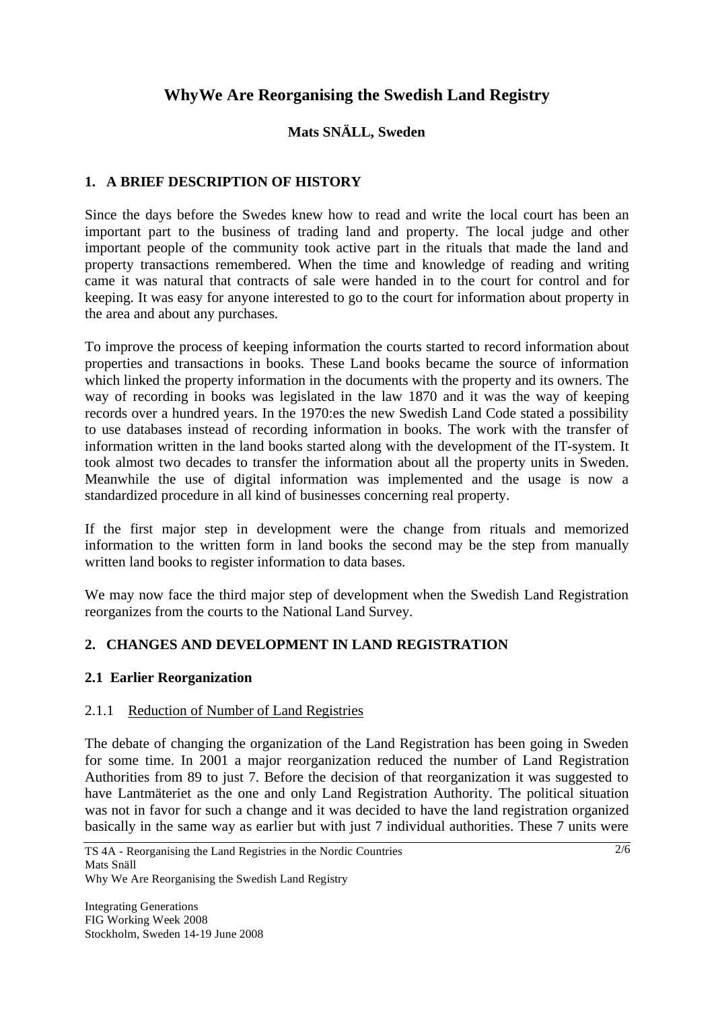# **WhyWe Are Reorganising the Swedish Land Registry**

# **Mats SNÄLL, Sweden**

# **1. A BRIEF DESCRIPTION OF HISTORY**

Since the days before the Swedes knew how to read and write the local court has been an important part to the business of trading land and property. The local judge and other important people of the community took active part in the rituals that made the land and property transactions remembered. When the time and knowledge of reading and writing came it was natural that contracts of sale were handed in to the court for control and for keeping. It was easy for anyone interested to go to the court for information about property in the area and about any purchases.

To improve the process of keeping information the courts started to record information about properties and transactions in books. These Land books became the source of information which linked the property information in the documents with the property and its owners. The way of recording in books was legislated in the law 1870 and it was the way of keeping records over a hundred years. In the 1970:es the new Swedish Land Code stated a possibility to use databases instead of recording information in books. The work with the transfer of information written in the land books started along with the development of the IT-system. It took almost two decades to transfer the information about all the property units in Sweden. Meanwhile the use of digital information was implemented and the usage is now a standardized procedure in all kind of businesses concerning real property.

If the first major step in development were the change from rituals and memorized information to the written form in land books the second may be the step from manually written land books to register information to data bases.

We may now face the third major step of development when the Swedish Land Registration reorganizes from the courts to the National Land Survey.

## **2. CHANGES AND DEVELOPMENT IN LAND REGISTRATION**

#### **2.1 Earlier Reorganization**

#### 2.1.1 Reduction of Number of Land Registries

The debate of changing the organization of the Land Registration has been going in Sweden for some time. In 2001 a major reorganization reduced the number of Land Registration Authorities from 89 to just 7. Before the decision of that reorganization it was suggested to have Lantmäteriet as the one and only Land Registration Authority. The political situation was not in favor for such a change and it was decided to have the land registration organized basically in the same way as earlier but with just 7 individual authorities. These 7 units were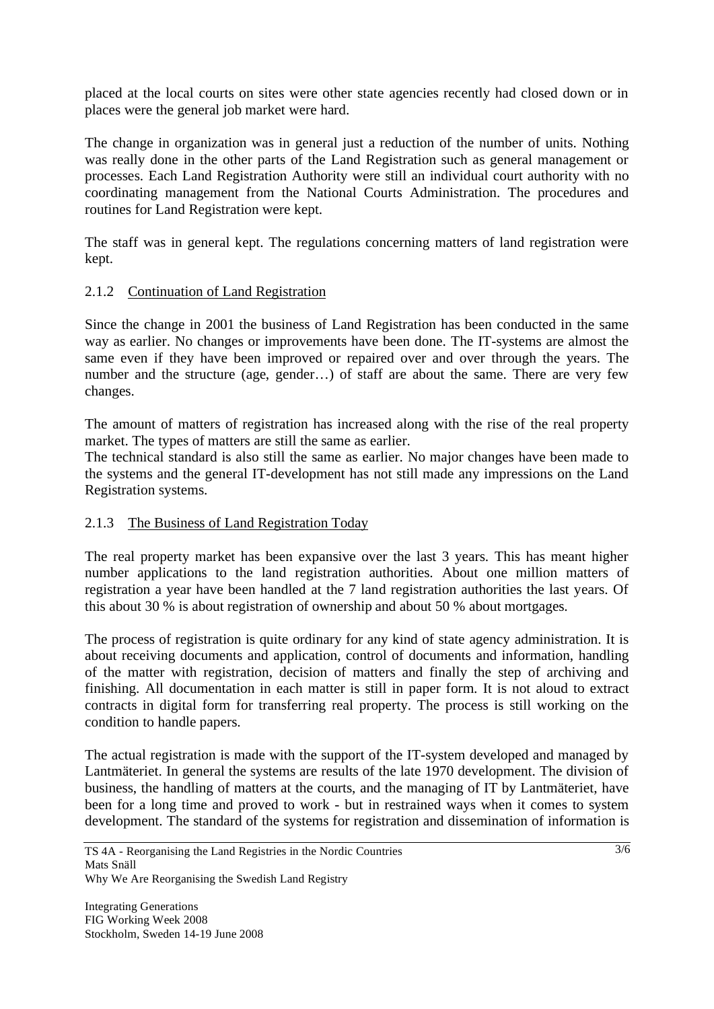placed at the local courts on sites were other state agencies recently had closed down or in places were the general job market were hard.

The change in organization was in general just a reduction of the number of units. Nothing was really done in the other parts of the Land Registration such as general management or processes. Each Land Registration Authority were still an individual court authority with no coordinating management from the National Courts Administration. The procedures and routines for Land Registration were kept.

The staff was in general kept. The regulations concerning matters of land registration were kept.

## 2.1.2 Continuation of Land Registration

Since the change in 2001 the business of Land Registration has been conducted in the same way as earlier. No changes or improvements have been done. The IT-systems are almost the same even if they have been improved or repaired over and over through the years. The number and the structure (age, gender…) of staff are about the same. There are very few changes.

The amount of matters of registration has increased along with the rise of the real property market. The types of matters are still the same as earlier.

The technical standard is also still the same as earlier. No major changes have been made to the systems and the general IT-development has not still made any impressions on the Land Registration systems.

## 2.1.3 The Business of Land Registration Today

The real property market has been expansive over the last 3 years. This has meant higher number applications to the land registration authorities. About one million matters of registration a year have been handled at the 7 land registration authorities the last years. Of this about 30 % is about registration of ownership and about 50 % about mortgages.

The process of registration is quite ordinary for any kind of state agency administration. It is about receiving documents and application, control of documents and information, handling of the matter with registration, decision of matters and finally the step of archiving and finishing. All documentation in each matter is still in paper form. It is not aloud to extract contracts in digital form for transferring real property. The process is still working on the condition to handle papers.

The actual registration is made with the support of the IT-system developed and managed by Lantmäteriet. In general the systems are results of the late 1970 development. The division of business, the handling of matters at the courts, and the managing of IT by Lantmäteriet, have been for a long time and proved to work - but in restrained ways when it comes to system development. The standard of the systems for registration and dissemination of information is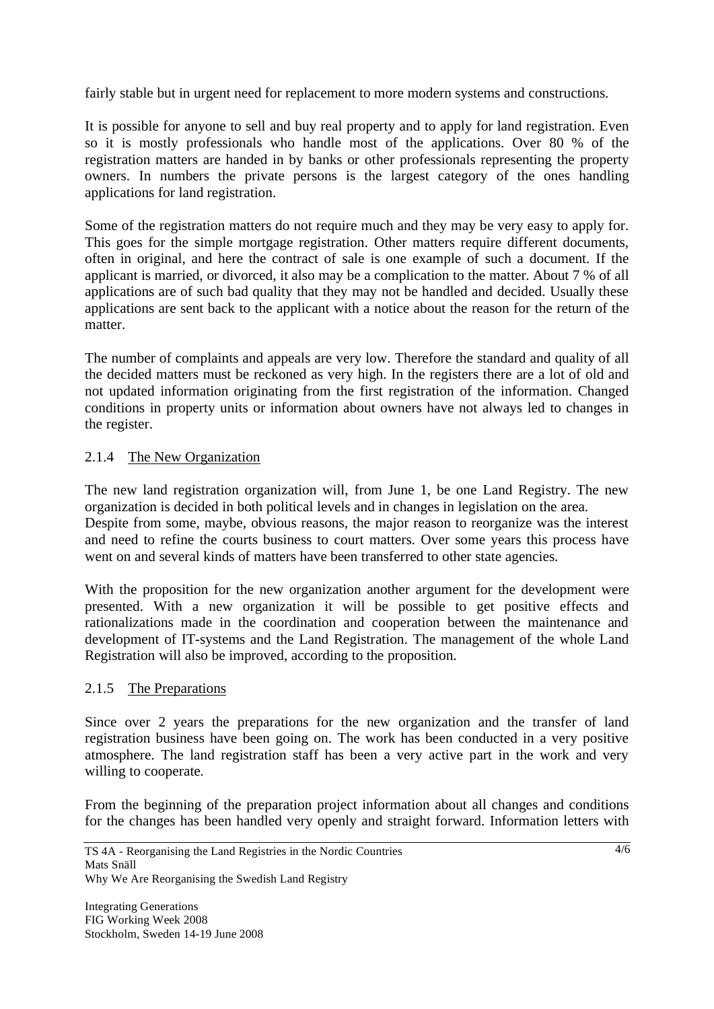fairly stable but in urgent need for replacement to more modern systems and constructions.

It is possible for anyone to sell and buy real property and to apply for land registration. Even so it is mostly professionals who handle most of the applications. Over 80 % of the registration matters are handed in by banks or other professionals representing the property owners. In numbers the private persons is the largest category of the ones handling applications for land registration.

Some of the registration matters do not require much and they may be very easy to apply for. This goes for the simple mortgage registration. Other matters require different documents, often in original, and here the contract of sale is one example of such a document. If the applicant is married, or divorced, it also may be a complication to the matter. About 7 % of all applications are of such bad quality that they may not be handled and decided. Usually these applications are sent back to the applicant with a notice about the reason for the return of the matter.

The number of complaints and appeals are very low. Therefore the standard and quality of all the decided matters must be reckoned as very high. In the registers there are a lot of old and not updated information originating from the first registration of the information. Changed conditions in property units or information about owners have not always led to changes in the register.

## 2.1.4 The New Organization

The new land registration organization will, from June 1, be one Land Registry. The new organization is decided in both political levels and in changes in legislation on the area. Despite from some, maybe, obvious reasons, the major reason to reorganize was the interest and need to refine the courts business to court matters. Over some years this process have went on and several kinds of matters have been transferred to other state agencies.

With the proposition for the new organization another argument for the development were presented. With a new organization it will be possible to get positive effects and rationalizations made in the coordination and cooperation between the maintenance and development of IT-systems and the Land Registration. The management of the whole Land Registration will also be improved, according to the proposition.

# 2.1.5 The Preparations

Since over 2 years the preparations for the new organization and the transfer of land registration business have been going on. The work has been conducted in a very positive atmosphere. The land registration staff has been a very active part in the work and very willing to cooperate.

From the beginning of the preparation project information about all changes and conditions for the changes has been handled very openly and straight forward. Information letters with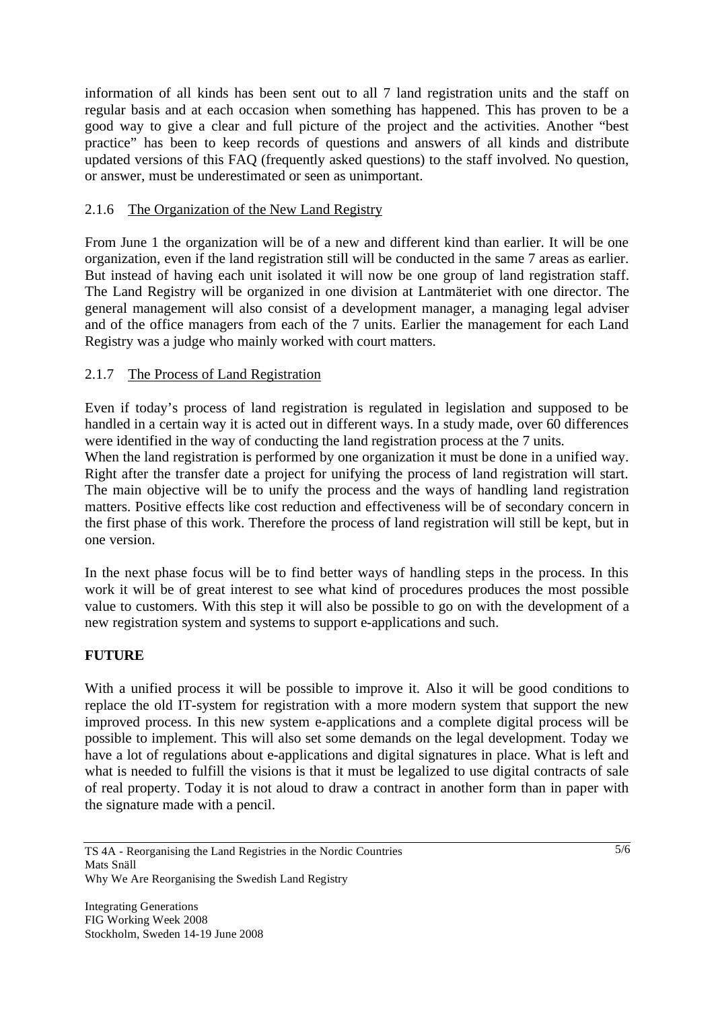information of all kinds has been sent out to all 7 land registration units and the staff on regular basis and at each occasion when something has happened. This has proven to be a good way to give a clear and full picture of the project and the activities. Another "best practice" has been to keep records of questions and answers of all kinds and distribute updated versions of this FAQ (frequently asked questions) to the staff involved. No question, or answer, must be underestimated or seen as unimportant.

## 2.1.6 The Organization of the New Land Registry

From June 1 the organization will be of a new and different kind than earlier. It will be one organization, even if the land registration still will be conducted in the same 7 areas as earlier. But instead of having each unit isolated it will now be one group of land registration staff. The Land Registry will be organized in one division at Lantmäteriet with one director. The general management will also consist of a development manager, a managing legal adviser and of the office managers from each of the 7 units. Earlier the management for each Land Registry was a judge who mainly worked with court matters.

## 2.1.7 The Process of Land Registration

Even if today's process of land registration is regulated in legislation and supposed to be handled in a certain way it is acted out in different ways. In a study made, over 60 differences were identified in the way of conducting the land registration process at the 7 units.

When the land registration is performed by one organization it must be done in a unified way. Right after the transfer date a project for unifying the process of land registration will start. The main objective will be to unify the process and the ways of handling land registration matters. Positive effects like cost reduction and effectiveness will be of secondary concern in the first phase of this work. Therefore the process of land registration will still be kept, but in one version.

In the next phase focus will be to find better ways of handling steps in the process. In this work it will be of great interest to see what kind of procedures produces the most possible value to customers. With this step it will also be possible to go on with the development of a new registration system and systems to support e-applications and such.

## **FUTURE**

With a unified process it will be possible to improve it. Also it will be good conditions to replace the old IT-system for registration with a more modern system that support the new improved process. In this new system e-applications and a complete digital process will be possible to implement. This will also set some demands on the legal development. Today we have a lot of regulations about e-applications and digital signatures in place. What is left and what is needed to fulfill the visions is that it must be legalized to use digital contracts of sale of real property. Today it is not aloud to draw a contract in another form than in paper with the signature made with a pencil.